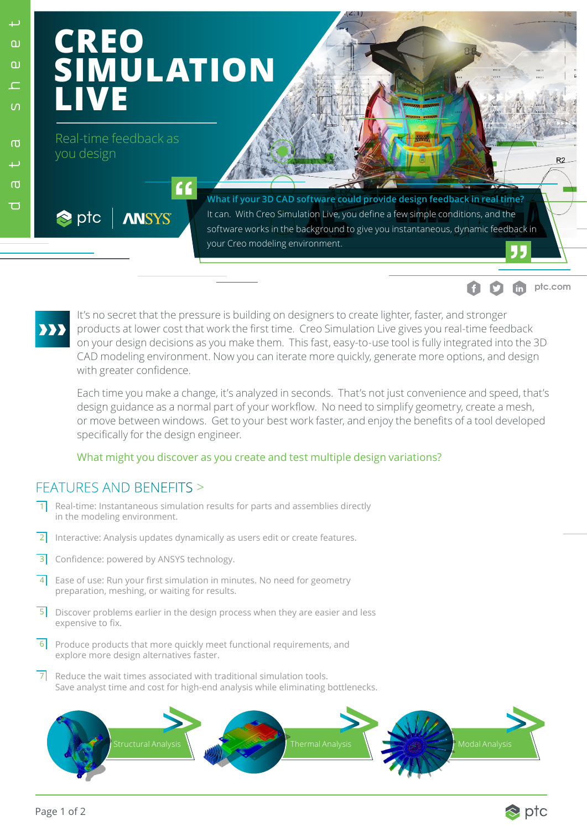Ю

## **CREO SIMULATION LIVE**

 $\epsilon$ 

Real-time feedback as you design

**ANSYS** 

**What if your 3D CAD software could provide design feedback in real time?**  It can. With Creo Simulation Live, you define a few simple conditions, and the software works in the background to give you instantaneous, dynamic feedback in your Creo modeling environment.



 $\bullet$  ptc

It's no secret that the pressure is building on designers to create lighter, faster, and stronger products at lower cost that work the first time. Creo Simulation Live gives you real-time feedback on your design decisions as you make them. This fast, easy-to-use tool is fully integrated into the 3D CAD modeling environment. Now you can iterate more quickly, generate more options, and design with greater confidence.

Each time you make a change, it's analyzed in seconds. That's not just convenience and speed, that's design guidance as a normal part of your workflow. No need to simplify geometry, create a mesh, or move between windows. Get to your best work faster, and enjoy the benefits of a tool developed specifically for the design engineer.

## What might you discover as you create and test multiple design variations?

## FEATURES AND BENEFITS >

- Real-time: Instantaneous simulation results for parts and assemblies directly in the modeling environment.  $\overline{1}$
- $2$  Interactive: Analysis updates dynamically as users edit or create features.
- Confidence: powered by ANSYS technology.  $\overline{3}$
- $4$  Ease of use: Run your first simulation in minutes. No need for geometry preparation, meshing, or waiting for results.
- 5 **Discover problems earlier in the design process when they are easier and less** expensive to fix.
- 6 Produce products that more quickly meet functional requirements, and explore more design alternatives faster.
- Reduce the wait times associated with traditional simulation tools. Save analyst time and cost for high-end analysis while eliminating bottlenecks. 7





**ptc.com**

 $R2$